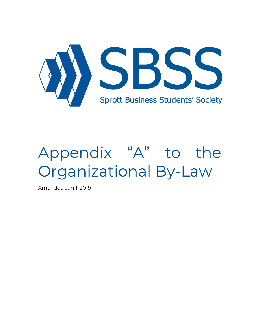

# Appendix "A" to the Organizational By-Law

Amended Jan 1, 2019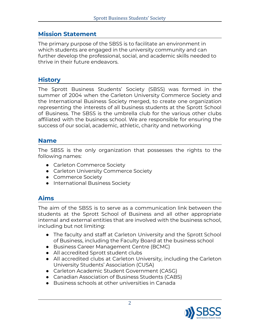### **Mission Statement**

The primary purpose of the SBSS is to facilitate an environment in which students are engaged in the university community and can further develop the professional, social, and academic skills needed to thrive in their future endeavors.

#### **History**

The Sprott Business Students' Society (SBSS) was formed in the summer of 2004 when the Carleton University Commerce Society and the International Business Society merged, to create one organization representing the interests of all business students at the Sprott School of Business. The SBSS is the umbrella club for the various other clubs affiliated with the business school. We are responsible for ensuring the success of our social, academic, athletic, charity and networking

#### **Name**

The SBSS is the only organization that possesses the rights to the following names:

- Carleton Commerce Society
- Carleton University Commerce Society
- Commerce Society
- International Business Society

## **Aims**

The aim of the SBSS is to serve as a communication link between the students at the Sprott School of Business and all other appropriate internal and external entities that are involved with the business school, including but not limiting:

- The faculty and staff at Carleton University and the Sprott School of Business, including the Faculty Board at the business school
- Business Career Management Centre (BCMC)
- All accredited Sprott student clubs
- All accredited clubs at Carleton University, including the Carleton University Students' Association (CUSA)
- Carleton Academic Student Government (CASG)
- Canadian Association of Business Students (CABS)
- Business schools at other universities in Canada